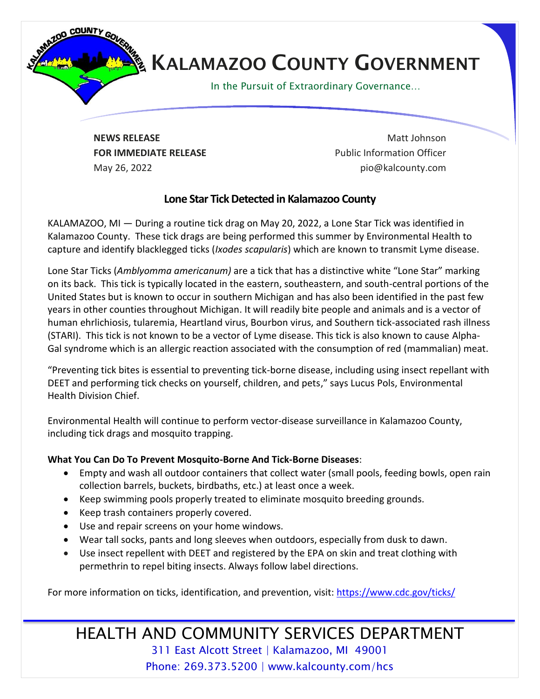

## **KALAMAZOO COUNTY GOVERNMENT**

In the Pursuit of Extraordinary Governance…

**NEWS RELEASE** Matt Johnson **FOR IMMEDIATE RELEASE EXAMPLE 2008** Public Information Officer May 26, 2022 pio@kalcounty.com

## **Lone Star Tick Detected in Kalamazoo County**

KALAMAZOO, MI — During a routine tick drag on May 20, 2022, a Lone Star Tick was identified in Kalamazoo County. These tick drags are being performed this summer by Environmental Health to capture and identify blacklegged ticks (*Ixodes scapularis*) which are known to transmit Lyme disease.

Lone Star Ticks (*Amblyomma americanum)* are a tick that has a distinctive white "Lone Star" marking on its back. This tick is typically located in the eastern, southeastern, and south-central portions of the United States but is known to occur in southern Michigan and has also been identified in the past few years in other counties throughout Michigan. It will readily bite people and animals and is a vector of human ehrlichiosis, tularemia, Heartland virus, Bourbon virus, and Southern tick-associated rash illness (STARI). This tick is not known to be a vector of Lyme disease. This tick is also known to cause Alpha-Gal syndrome which is an allergic reaction associated with the consumption of red (mammalian) meat.

"Preventing tick bites is essential to preventing tick-borne disease, including using insect repellant with DEET and performing tick checks on yourself, children, and pets," says Lucus Pols, Environmental Health Division Chief.

Environmental Health will continue to perform vector-disease surveillance in Kalamazoo County, including tick drags and mosquito trapping.

## **What You Can Do To Prevent Mosquito-Borne And Tick-Borne Diseases**:

- Empty and wash all outdoor containers that collect water (small pools, feeding bowls, open rain collection barrels, buckets, birdbaths, etc.) at least once a week.
- Keep swimming pools properly treated to eliminate mosquito breeding grounds.
- Keep trash containers properly covered.
- Use and repair screens on your home windows.
- Wear tall socks, pants and long sleeves when outdoors, especially from dusk to dawn.
- Use insect repellent with DEET and registered by the EPA on skin and treat clothing with permethrin to repel biting insects. Always follow label directions.

For more information on ticks, identification, and prevention, visit[: https://www.cdc.gov/ticks/](https://www.cdc.gov/ticks/)

HEALTH AND COMMUNITY SERVICES DEPARTMENT 311 East Alcott Street | Kalamazoo, MI 49001 Phone: 269.373.5200 | www.kalcounty.com/hcs